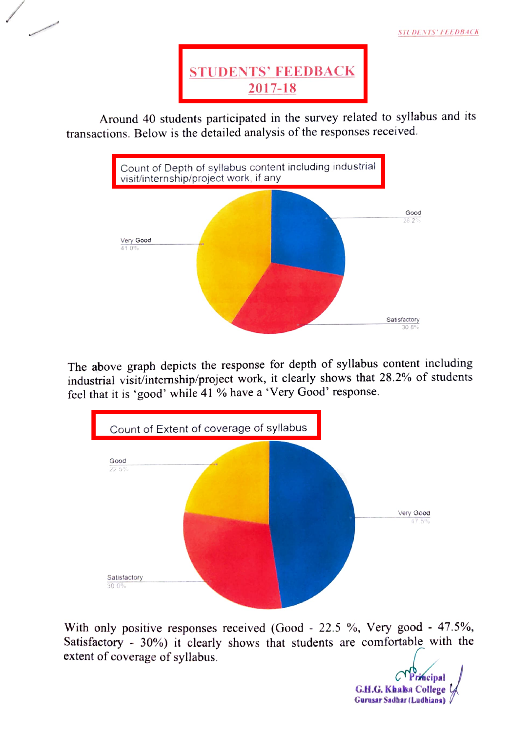

Around 40 students participated in the survey related to syllabus and its transactions. Below is the detailed analysis of the responses received.



The above graph depicts the response for depth of syllabus content including industrial visit/internship/project work, it clearly shows that 28.2% of students feel that it is 'good' while 41 % have a \*Very Good' response.



With only positive responses received (Good - 22.5 %, Very good - 47.5%, Satisfactory - 30%) it clearly shows that students are comfortable with the extent of coverage of syllabus.

C<sup>T</sup> Principal<br>**G.H.G. Khalsa College** Gurusar Sadhar (Ludhiana)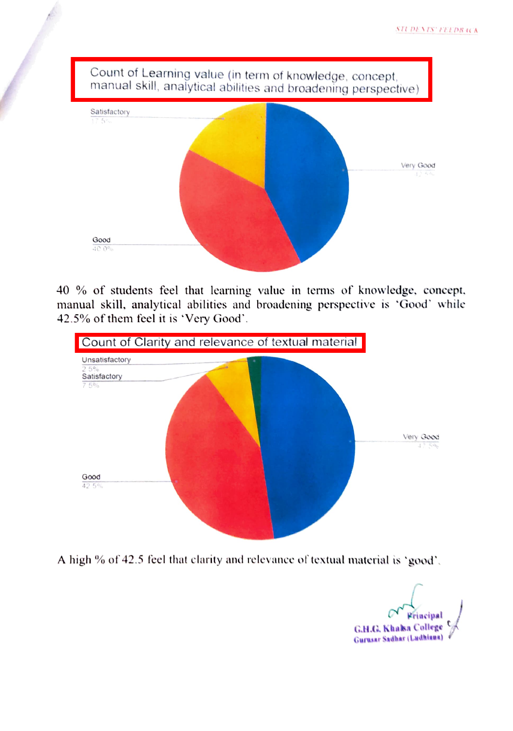

40 % of students feel that learning value in terms of knowledge., concept, manual skill, analytical abilities and broadening perspective is 'Good' while 42.5% of them feel it is 'Very Good'.



A high % of 42.5 fecl that clarity and relevance of textual material is 'good'

Wriacipal G.H.C. Khaka College Gurusar Sadhar (Ladhiaan)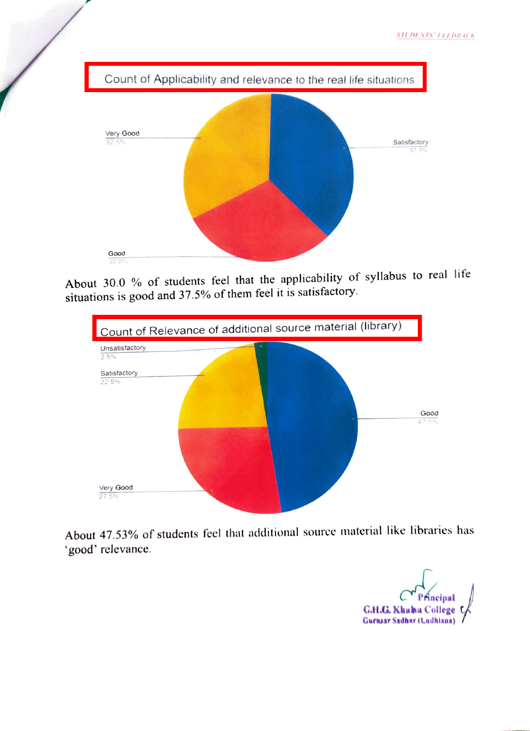

About 30.0 % of students feel that the applicability of syllabus to real life situations is good and 37.5% of them feel it is satisfactory.



About 47.53% of students feel that additional source material like libraries has good' relevance.

G.H.G. Khaba College<br>Gurasar Sadhar (Ladhiana)